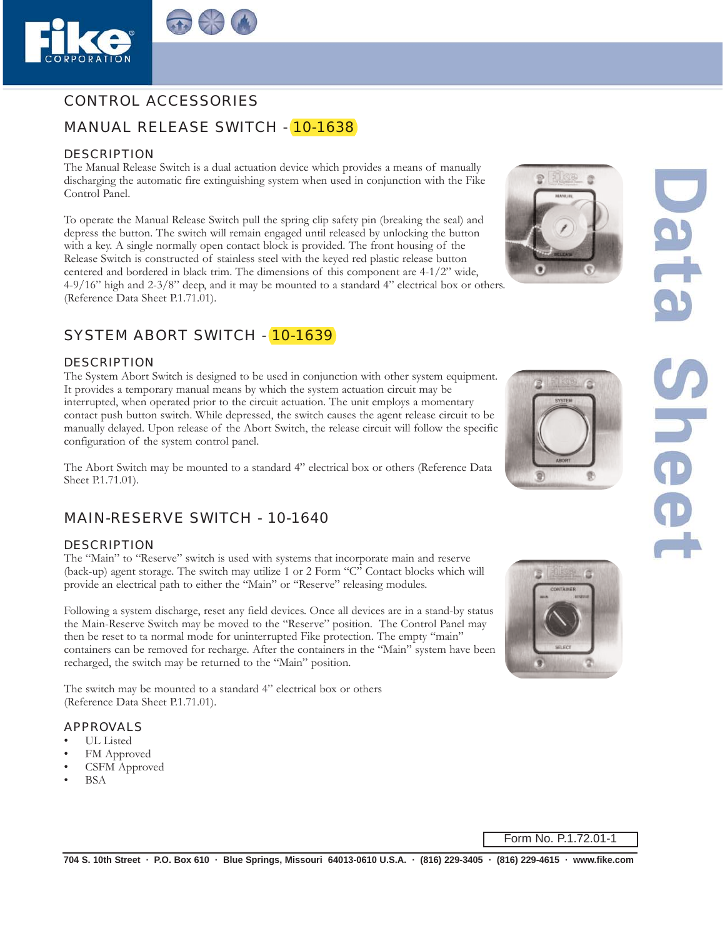

# CONTROL ACCESSORIES

# MANUAL RELEASE SWITCH - 10-1638

#### DESCRIPTION

The Manual Release Switch is a dual actuation device which provides a means of manually discharging the automatic fire extinguishing system when used in conjunction with the Fike Control Panel.

To operate the Manual Release Switch pull the spring clip safety pin (breaking the seal) and depress the button. The switch will remain engaged until released by unlocking the button with a key. A single normally open contact block is provided. The front housing of the Release Switch is constructed of stainless steel with the keyed red plastic release button centered and bordered in black trim. The dimensions of this component are 4-1/2" wide, 4-9/16" high and 2-3/8" deep, and it may be mounted to a standard 4" electrical box or others. (Reference Data Sheet P.1.71.01).

# SYSTEM ABORT SWITCH - 10-1639

### DESCRIPTION

The System Abort Switch is designed to be used in conjunction with other system equipment. It provides a temporary manual means by which the system actuation circuit may be interrupted, when operated prior to the circuit actuation. The unit employs a momentary contact push button switch. While depressed, the switch causes the agent release circuit to be manually delayed. Upon release of the Abort Switch, the release circuit will follow the specific configuration of the system control panel.

The Abort Switch may be mounted to a standard 4" electrical box or others (Reference Data Sheet P.1.71.01).

### MAIN-RESERVE SWITCH - 10-1640

#### **DESCRIPTION**

The "Main" to "Reserve" switch is used with systems that incorporate main and reserve (back-up) agent storage. The switch may utilize 1 or 2 Form "C" Contact blocks which will provide an electrical path to either the "Main" or "Reserve" releasing modules.

Following a system discharge, reset any field devices. Once all devices are in a stand-by status the Main-Reserve Switch may be moved to the "Reserve" position. The Control Panel may then be reset to ta normal mode for uninterrupted Fike protection. The empty "main" containers can be removed for recharge. After the containers in the "Main" system have been recharged, the switch may be returned to the "Main" position.

The switch may be mounted to a standard 4" electrical box or others (Reference Data Sheet P.1.71.01).

#### APPROVALS

- UL Listed
- FM Approved
- CSFM Approved
- BSA





Form No. P.1.72.01-1